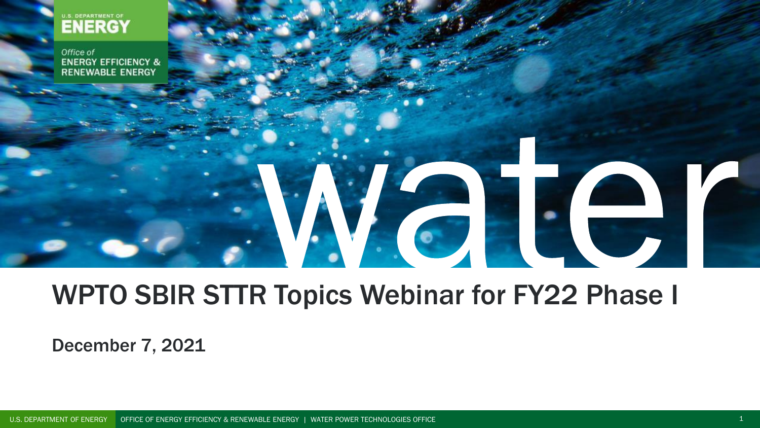

Office of **ENERGY EFFICIENCY & RENEWABLE ENERGY** 

# 

## WPTO SBIR STTR Topics Webinar for FY22 Phase I

December 7, 2021

U.S. DEPARTMENT OF ENERGY OFFICE OF ENERGY EFFICIENCY & RENEWABLE ENERGY | WATER POWER TECHNOLOGIES OFFICE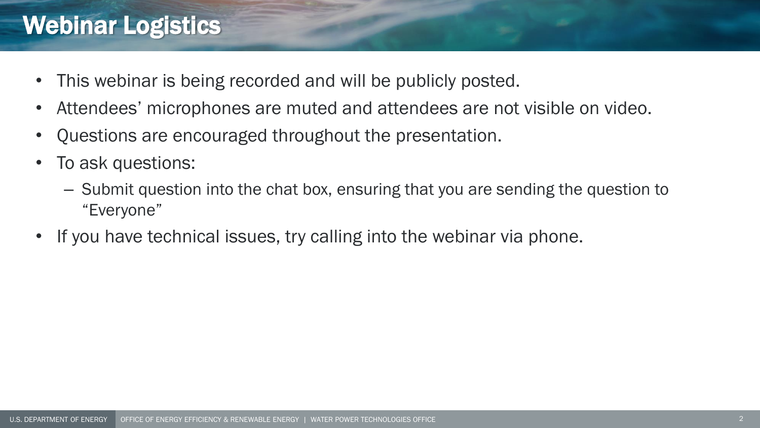## Webinar Logistics

- This webinar is being recorded and will be publicly posted.
- Attendees' microphones are muted and attendees are not visible on video.
- Questions are encouraged throughout the presentation.
- To ask questions:
	- Submit question into the chat box, ensuring that you are sending the question to "Everyone"
- If you have technical issues, try calling into the webinar via phone.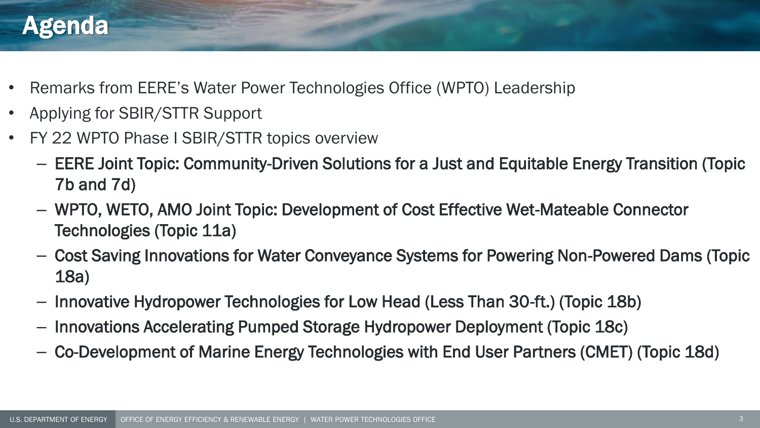## Agenda

- Remarks from EERE's Water Power Technologies Office (WPTO) Leadership
- Applying for SBIR/STTR Support
- FY 22 WPTO Phase I SBIR/STTR topics overview
	- EERE Joint Topic: Community-Driven Solutions for a Just and Equitable Energy Transition (Topic 7b and 7d)
	- WPTO, WETO, AMO Joint Topic: Development of Cost Effective Wet-Mateable Connector Technologies (Topic 11a)
	- Cost Saving Innovations for Water Conveyance Systems for Powering Non-Powered Dams (Topic 18a)
	- Innovative Hydropower Technologies for Low Head (Less Than 30-ft.) (Topic 18b)
	- Innovations Accelerating Pumped Storage Hydropower Deployment (Topic 18c)
	- Co-Development of Marine Energy Technologies with End User Partners (CMET) (Topic 18d)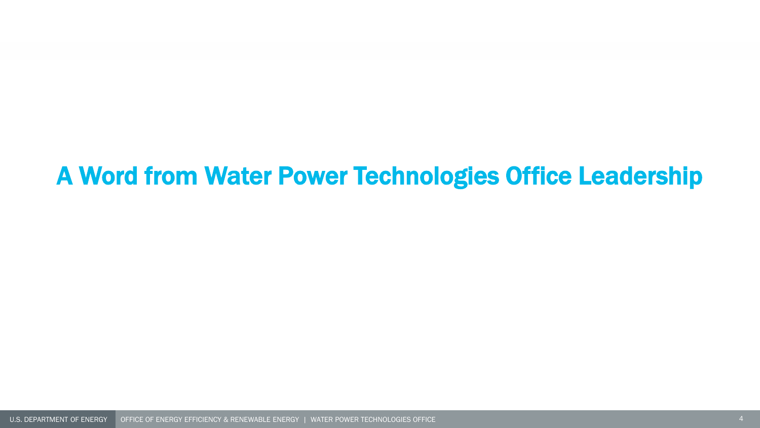## A Word from Water Power Technologies Office Leadership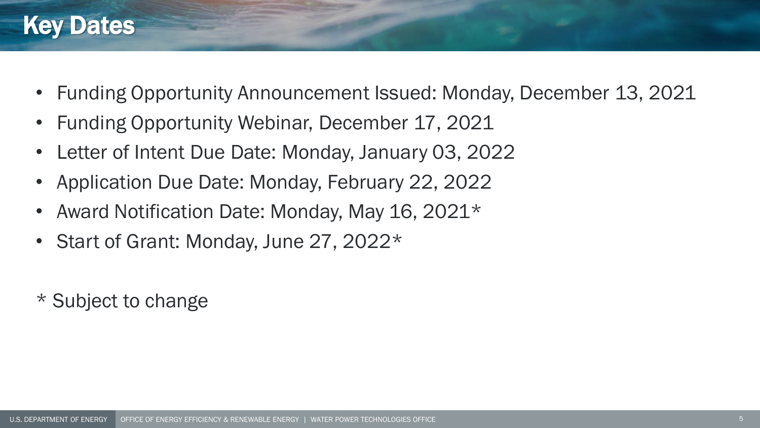## Key Dates

- Funding Opportunity Announcement Issued: Monday, December 13, 2021
- Funding Opportunity Webinar, December 17, 2021
- Letter of Intent Due Date: Monday, January 03, 2022
- Application Due Date: Monday, February 22, 2022
- Award Notification Date: Monday, May 16, 2021\*
- Start of Grant: Monday, June 27, 2022\*
- \* Subject to change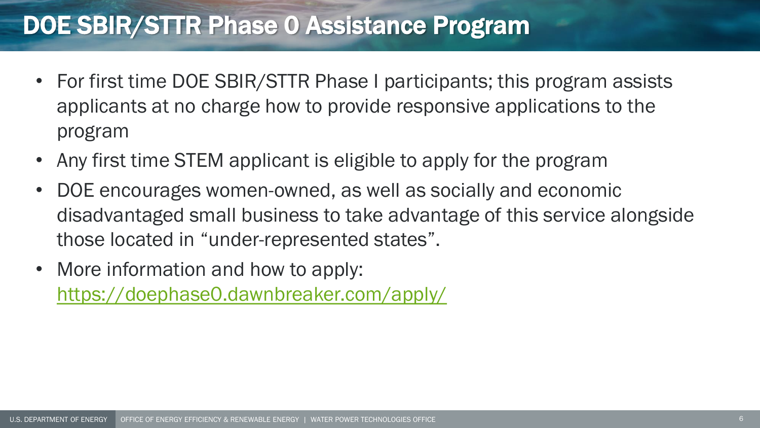## DOE SBIR/STTR Phase 0 Assistance Program

- For first time DOE SBIR/STTR Phase I participants; this program assists applicants at no charge how to provide responsive applications to the program
- Any first time STEM applicant is eligible to apply for the program
- DOE encourages women-owned, as well as socially and economic disadvantaged small business to take advantage of this service alongside those located in "under-represented states".
- More information and how to apply: <https://doephase0.dawnbreaker.com/apply/>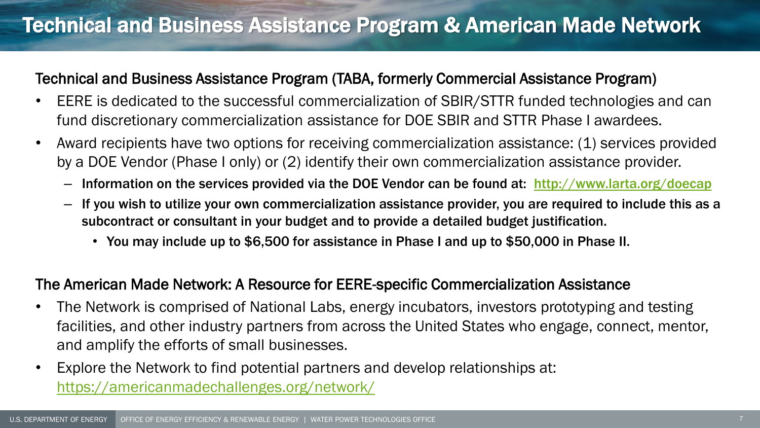## Technical and Business Assistance Program & American Made Network

#### Technical and Business Assistance Program (TABA, formerly Commercial Assistance Program)

- EERE is dedicated to the successful commercialization of SBIR/STTR funded technologies and can fund discretionary commercialization assistance for DOE SBIR and STTR Phase I awardees.
- Award recipients have two options for receiving commercialization assistance: (1) services provided by a DOE Vendor (Phase I only) or (2) identify their own commercialization assistance provider.
	- Information on the services provided via the DOE Vendor can be found at: [http://www.larta.org/doecap](https://science.osti.gov/Leaving-Office-of-Science?url=http://www.larta.org/doecap&external=true)
	- If you wish to utilize your own commercialization assistance provider, you are required to include this as a subcontract or consultant in your budget and to provide a detailed budget justification.
		- You may include up to \$6,500 for assistance in Phase I and up to \$50,000 in Phase II.

#### The American Made Network: A Resource for EERE-specific Commercialization Assistance

- The Network is comprised of National Labs, energy incubators, investors prototyping and testing facilities, and other industry partners from across the United States who engage, connect, mentor, and amplify the efforts of small businesses.
- Explore the Network to find potential partners and develop relationships at: <https://americanmadechallenges.org/network/>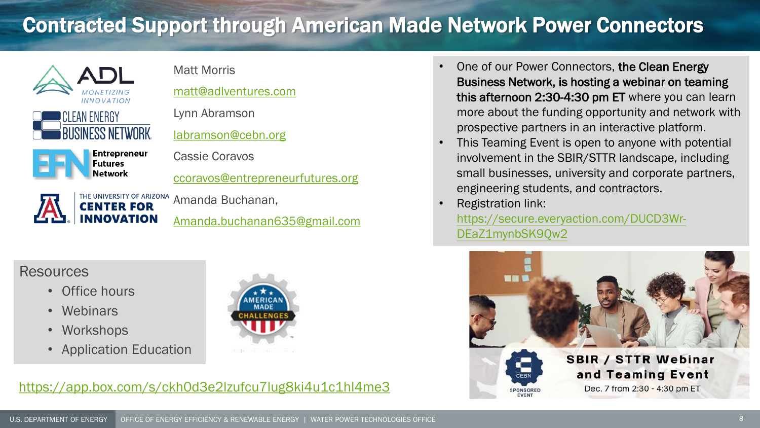## Contracted Support through American Made Network Power Connectors



[Amanda.buchanan635@gmail.com](mailto:Amanda.buchanan635@gmail.com)

#### **Resources**

- Office hours
- Webinars
- Workshops
- Application Education

**INNOVATION** 



- One of our Power Connectors, the Clean Energy Business Network, is hosting a webinar on teaming this afternoon 2:30-4:30 pm ET where you can learn more about the funding opportunity and network with prospective partners in an interactive platform.
- This Teaming Event is open to anyone with potential involvement in the SBIR/STTR landscape, including small businesses, university and corporate partners, engineering students, and contractors.
- Registration link: [https://secure.everyaction.com/DUCD3Wr-](https://secure.everyaction.com/DUCD3Wr-DEaZ1mynbSK9Qw2)DEaZ1mynbSK9Qw2

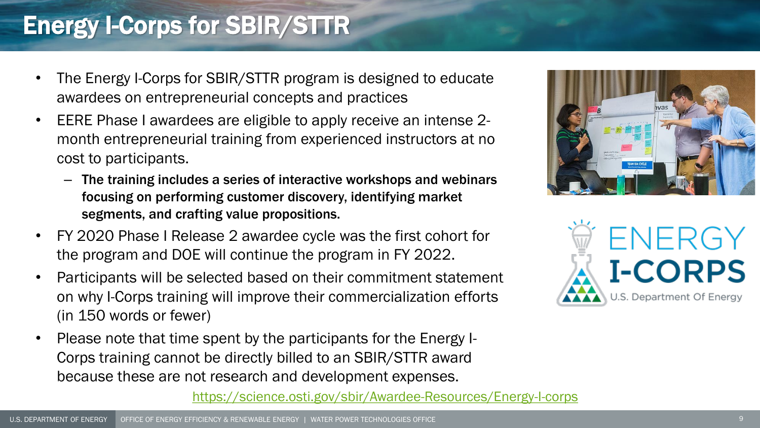## Energy I-Corps for SBIR/STTR

- The Energy I-Corps for SBIR/STTR program is designed to educate awardees on entrepreneurial concepts and practices
- EERE Phase I awardees are eligible to apply receive an intense 2 month entrepreneurial training from experienced instructors at no cost to participants.
	- The training includes a series of interactive workshops and webinars focusing on performing customer discovery, identifying market segments, and crafting value propositions.
- FY 2020 Phase I Release 2 awardee cycle was the first cohort for the program and DOE will continue the program in FY 2022.
- Participants will be selected based on their commitment statement on why I-Corps training will improve their commercialization efforts (in 150 words or fewer)
- Please note that time spent by the participants for the Energy I-Corps training cannot be directly billed to an SBIR/STTR award because these are not research and development expenses.





<https://science.osti.gov/sbir/Awardee-Resources/Energy-I-corps>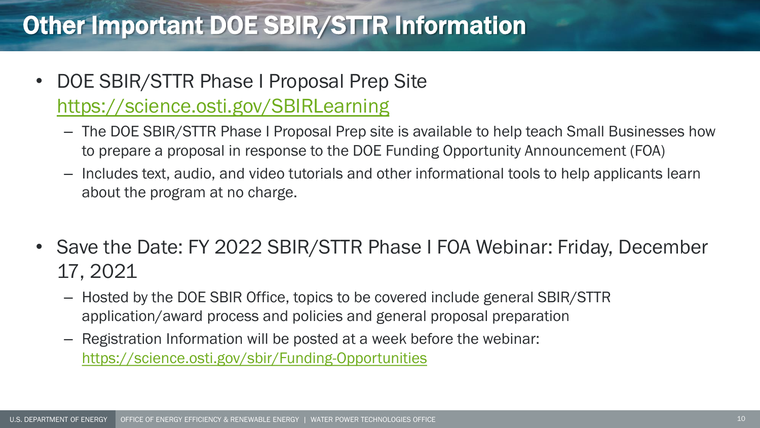## Other Important DOE SBIR/STTR Information

- DOE SBIR/STTR Phase I Proposal Prep Site <https://science.osti.gov/SBIRLearning>
	- The DOE SBIR/STTR Phase I Proposal Prep site is available to help teach Small Businesses how to prepare a proposal in response to the DOE Funding Opportunity Announcement (FOA)
	- Includes text, audio, and video tutorials and other informational tools to help applicants learn about the program at no charge.
- Save the Date: FY 2022 SBIR/STTR Phase I FOA Webinar: Friday, December 17, 2021
	- Hosted by the DOE SBIR Office, topics to be covered include general SBIR/STTR application/award process and policies and general proposal preparation
	- Registration Information will be posted at a week before the webinar: <https://science.osti.gov/sbir/Funding-Opportunities>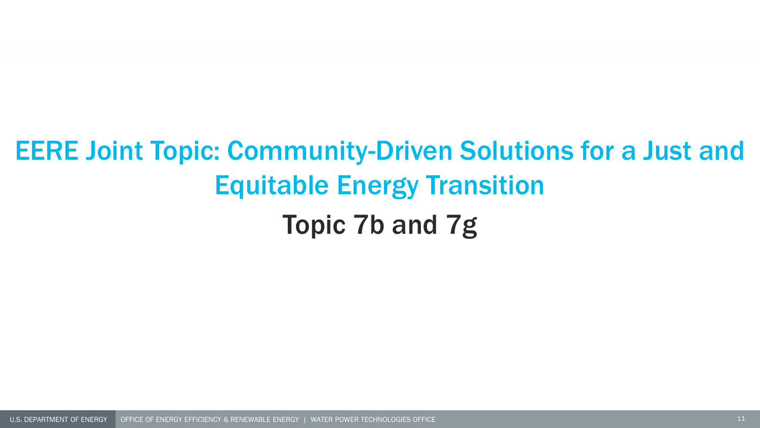# EERE Joint Topic: Community-Driven Solutions for a Just and Equitable Energy Transition Topic 7b and 7g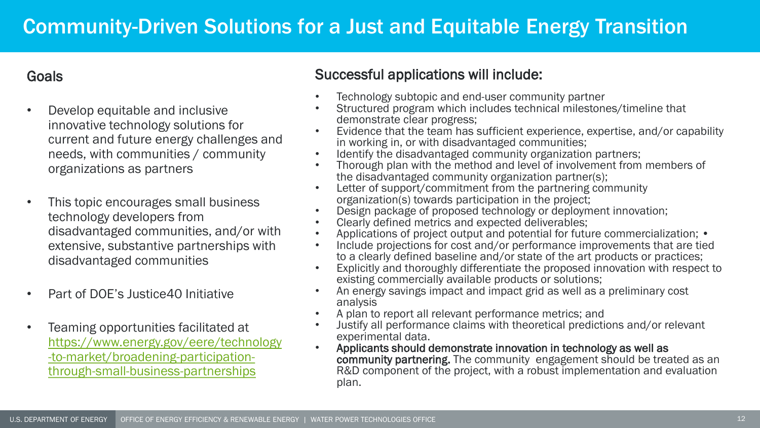#### **Goals**

- Develop equitable and inclusive innovative technology solutions for current and future energy challenges and needs, with communities / community organizations as partners
- This topic encourages small business technology developers from disadvantaged communities, and/or with extensive, substantive partnerships with disadvantaged communities
- Part of DOE's Justice40 Initiative
- Teaming opportunities facilitated at https://www.energy.gov/eere/technology -to-market/broadening-participation[through-small-business-partnerships](https://www.energy.gov/eere/technology-to-market/broadening-participation-through-small-business-partnerships)

#### Successful applications will include:

- Technology subtopic and end-user community partner
- Structured program which includes technical milestones/timeline that demonstrate clear progress;
- Evidence that the team has sufficient experience, expertise, and/or capability in working in, or with disadvantaged communities;
- Identify the disadvantaged community organization partners;
- Thorough plan with the method and level of involvement from members of the disadvantaged community organization partner(s);
- Letter of support/commitment from the partnering community organization(s) towards participation in the project;
- Design package of proposed technology or deployment innovation;
- Clearly defined metrics and expected deliverables;
- Applications of project output and potential for future commercialization; •
- Include projections for cost and/or performance improvements that are tied to a clearly defined baseline and/or state of the art products or practices;
- Explicitly and thoroughly differentiate the proposed innovation with respect to existing commercially available products or solutions;
- An energy savings impact and impact grid as well as a preliminary cost analysis
- A plan to report all relevant performance metrics; and
- Justify all performance claims with theoretical predictions and/or relevant experimental data.
- Applicants should demonstrate innovation in technology as well as community partnering. The community engagement should be treated as an R&D component of the project, with a robust implementation and evaluation plan.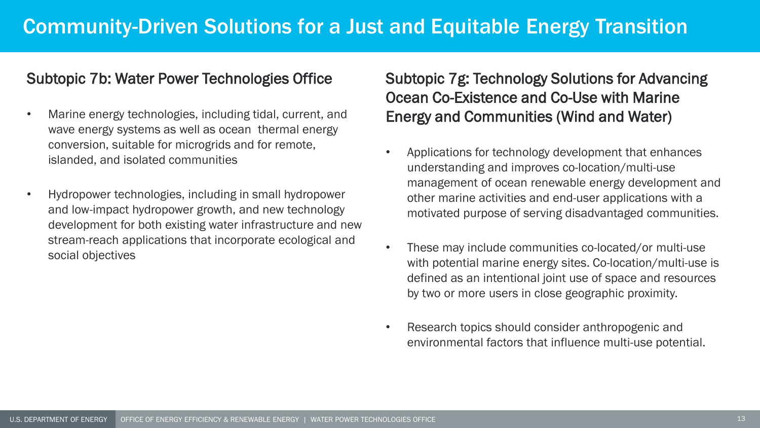## Community-Driven Solutions for a Just and Equitable Energy Transition

#### Subtopic 7b: Water Power Technologies Office

- Marine energy technologies, including tidal, current, and wave energy systems as well as ocean thermal energy conversion, suitable for microgrids and for remote, islanded, and isolated communities
- Hydropower technologies, including in small hydropower and low-impact hydropower growth, and new technology development for both existing water infrastructure and new stream-reach applications that incorporate ecological and social objectives

#### Subtopic 7g: Technology Solutions for Advancing Ocean Co-Existence and Co-Use with Marine Energy and Communities (Wind and Water)

- Applications for technology development that enhances understanding and improves co-location/multi-use management of ocean renewable energy development and other marine activities and end-user applications with a motivated purpose of serving disadvantaged communities.
- These may include communities co-located/or multi-use with potential marine energy sites. Co-location/multi-use is defined as an intentional joint use of space and resources by two or more users in close geographic proximity.
- Research topics should consider anthropogenic and environmental factors that influence multi-use potential.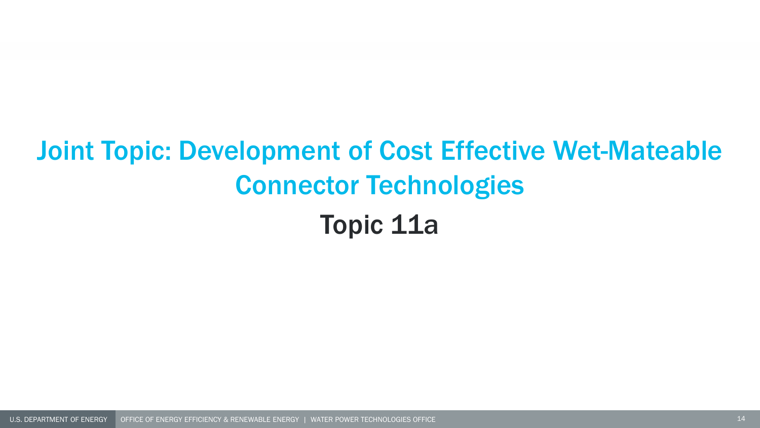# Joint Topic: Development of Cost Effective Wet-Mateable Connector Technologies Topic 11a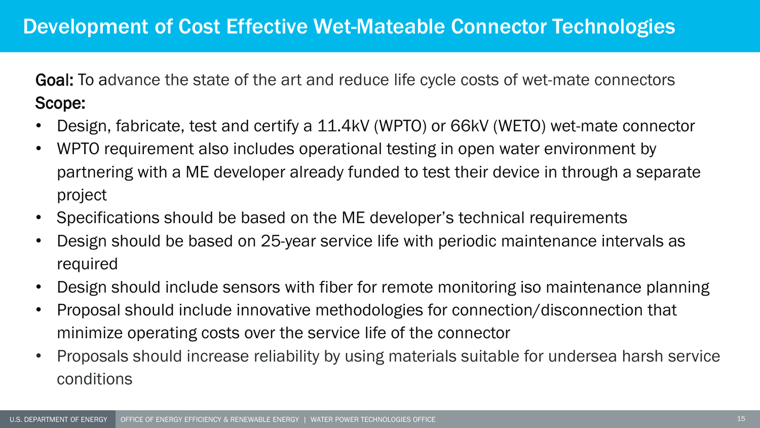Goal: To advance the state of the art and reduce life cycle costs of wet-mate connectors Scope:

- Design, fabricate, test and certify a 11.4kV (WPTO) or 66kV (WETO) wet-mate connector
- WPTO requirement also includes operational testing in open water environment by partnering with a ME developer already funded to test their device in through a separate project
- Specifications should be based on the ME developer's technical requirements
- Design should be based on 25-year service life with periodic maintenance intervals as required
- Design should include sensors with fiber for remote monitoring iso maintenance planning
- Proposal should include innovative methodologies for connection/disconnection that minimize operating costs over the service life of the connector
- Proposals should increase reliability by using materials suitable for undersea harsh service conditions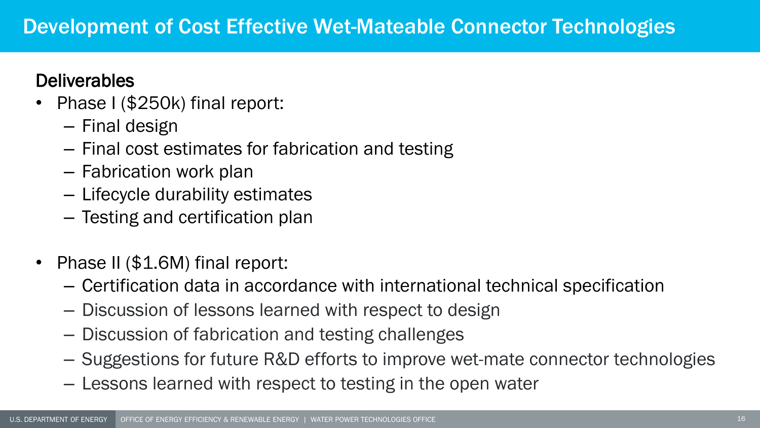### **Deliverables**

- Phase I (\$250k) final report:
	- Final design
	- Final cost estimates for fabrication and testing
	- Fabrication work plan
	- Lifecycle durability estimates
	- Testing and certification plan
- Phase II (\$1.6M) final report:
	- Certification data in accordance with international technical specification
	- Discussion of lessons learned with respect to design
	- Discussion of fabrication and testing challenges
	- Suggestions for future R&D efforts to improve wet-mate connector technologies
	- Lessons learned with respect to testing in the open water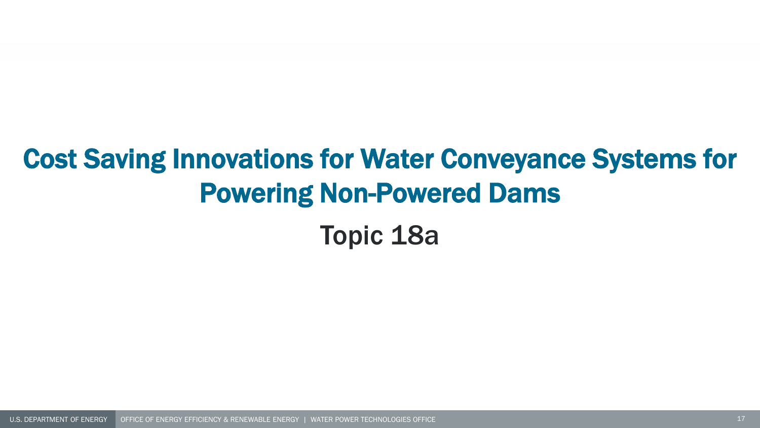# Cost Saving Innovations for Water Conveyance Systems for Powering Non-Powered Dams

Topic 18a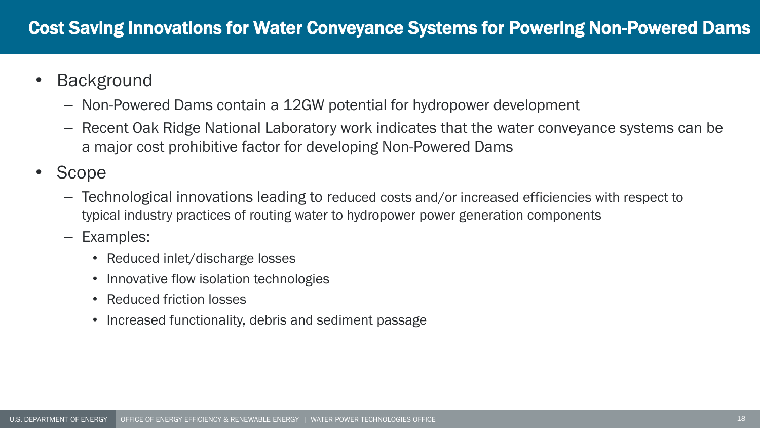- Background
	- Non-Powered Dams contain a 12GW potential for hydropower development
	- Recent Oak Ridge National Laboratory work indicates that the water conveyance systems can be a major cost prohibitive factor for developing Non-Powered Dams
- Scope
	- Technological innovations leading to reduced costs and/or increased efficiencies with respect to typical industry practices of routing water to hydropower power generation components
	- Examples:
		- Reduced inlet/discharge losses
		- Innovative flow isolation technologies
		- Reduced friction losses
		- Increased functionality, debris and sediment passage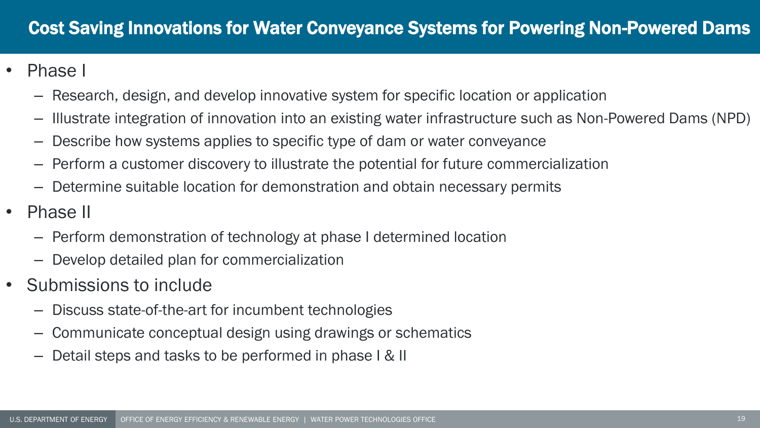- Phase I
	- Research, design, and develop innovative system for specific location or application
	- Illustrate integration of innovation into an existing water infrastructure such as Non-Powered Dams (NPD)
	- Describe how systems applies to specific type of dam or water conveyance
	- Perform a customer discovery to illustrate the potential for future commercialization
	- Determine suitable location for demonstration and obtain necessary permits
- Phase II
	- Perform demonstration of technology at phase I determined location
	- Develop detailed plan for commercialization
- Submissions to include
	- Discuss state-of-the-art for incumbent technologies
	- Communicate conceptual design using drawings or schematics
	- Detail steps and tasks to be performed in phase I & II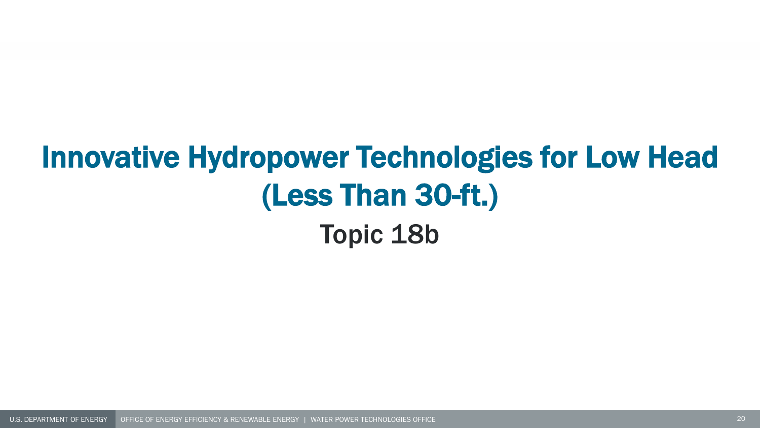# Innovative Hydropower Technologies for Low Head (Less Than 30-ft.) Topic 18b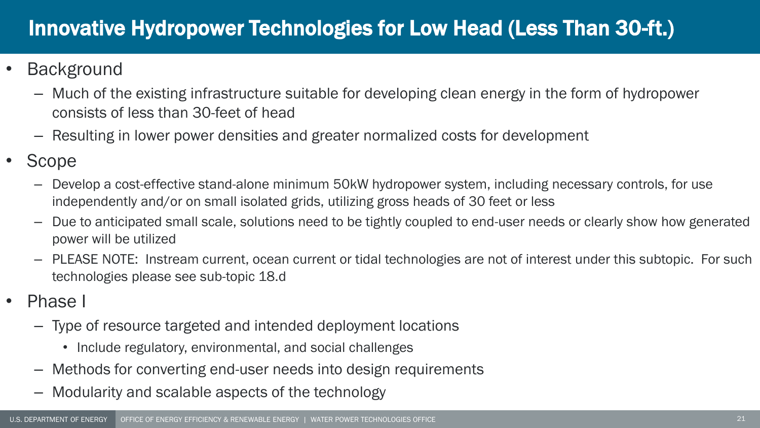## Innovative Hydropower Technologies for Low Head (Less Than 30-ft.)

- **Background** 
	- Much of the existing infrastructure suitable for developing clean energy in the form of hydropower consists of less than 30-feet of head
	- Resulting in lower power densities and greater normalized costs for development
- Scope
	- Develop a cost-effective stand-alone minimum 50kW hydropower system, including necessary controls, for use independently and/or on small isolated grids, utilizing gross heads of 30 feet or less
	- Due to anticipated small scale, solutions need to be tightly coupled to end-user needs or clearly show how generated power will be utilized
	- PLEASE NOTE: Instream current, ocean current or tidal technologies are not of interest under this subtopic. For such technologies please see sub-topic 18.d
- Phase I
	- Type of resource targeted and intended deployment locations
		- Include regulatory, environmental, and social challenges
	- Methods for converting end-user needs into design requirements
	- Modularity and scalable aspects of the technology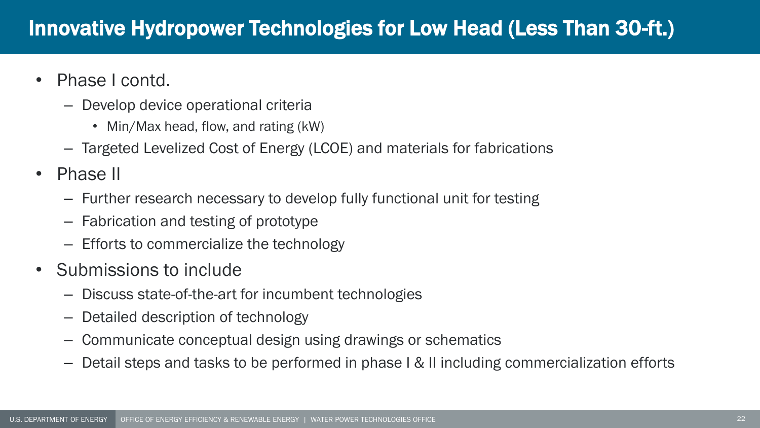## Innovative Hydropower Technologies for Low Head (Less Than 30-ft.)

- Phase I contd.
	- Develop device operational criteria
		- Min/Max head, flow, and rating (kW)
	- Targeted Levelized Cost of Energy (LCOE) and materials for fabrications
- Phase II
	- Further research necessary to develop fully functional unit for testing
	- Fabrication and testing of prototype
	- Efforts to commercialize the technology
- Submissions to include
	- Discuss state-of-the-art for incumbent technologies
	- Detailed description of technology
	- Communicate conceptual design using drawings or schematics
	- Detail steps and tasks to be performed in phase I & II including commercialization efforts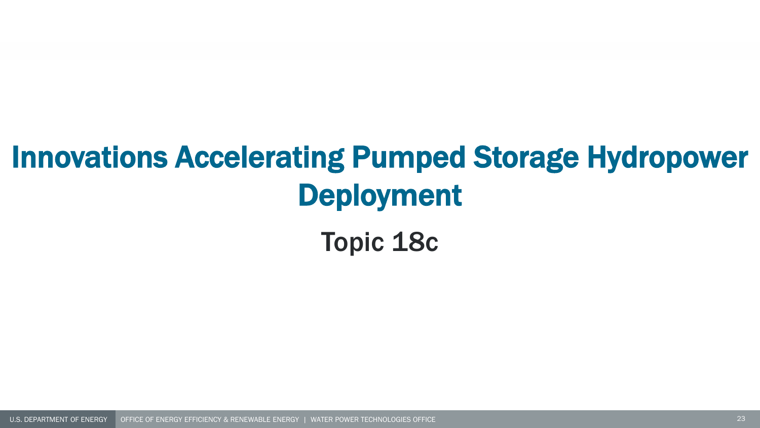# Innovations Accelerating Pumped Storage Hydropower Deployment

Topic 18c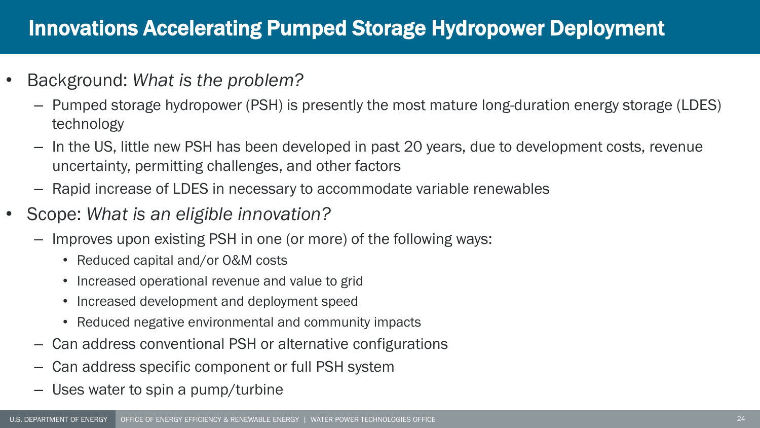## Innovations Accelerating Pumped Storage Hydropower Deployment

- Background: *What is the problem?*
	- Pumped storage hydropower (PSH) is presently the most mature long-duration energy storage (LDES) technology
	- In the US, little new PSH has been developed in past 20 years, due to development costs, revenue uncertainty, permitting challenges, and other factors
	- Rapid increase of LDES in necessary to accommodate variable renewables
- Scope: *What is an eligible innovation?*
	- Improves upon existing PSH in one (or more) of the following ways:
		- Reduced capital and/or O&M costs
		- Increased operational revenue and value to grid
		- Increased development and deployment speed
		- Reduced negative environmental and community impacts
	- Can address conventional PSH or alternative configurations
	- Can address specific component or full PSH system
	- Uses water to spin a pump/turbine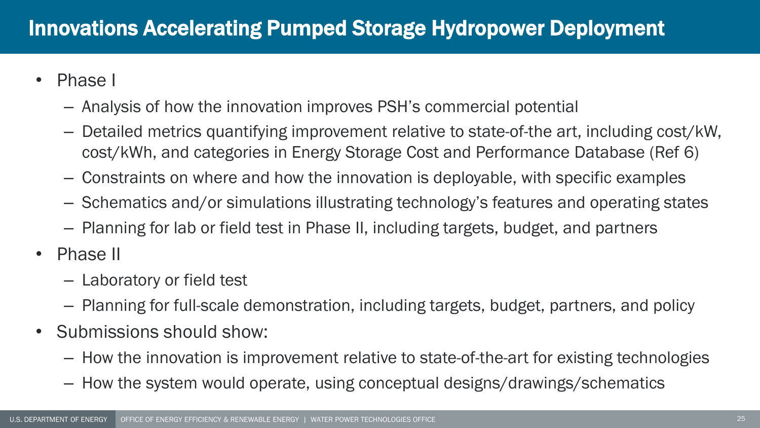- Phase I
	- Analysis of how the innovation improves PSH's commercial potential
	- Detailed metrics quantifying improvement relative to state-of-the art, including cost/kW, cost/kWh, and categories in Energy Storage Cost and Performance Database (Ref 6)
	- Constraints on where and how the innovation is deployable, with specific examples
	- Schematics and/or simulations illustrating technology's features and operating states
	- Planning for lab or field test in Phase II, including targets, budget, and partners
- Phase II
	- Laboratory or field test
	- Planning for full-scale demonstration, including targets, budget, partners, and policy
- Submissions should show:
	- How the innovation is improvement relative to state-of-the-art for existing technologies
	- How the system would operate, using conceptual designs/drawings/schematics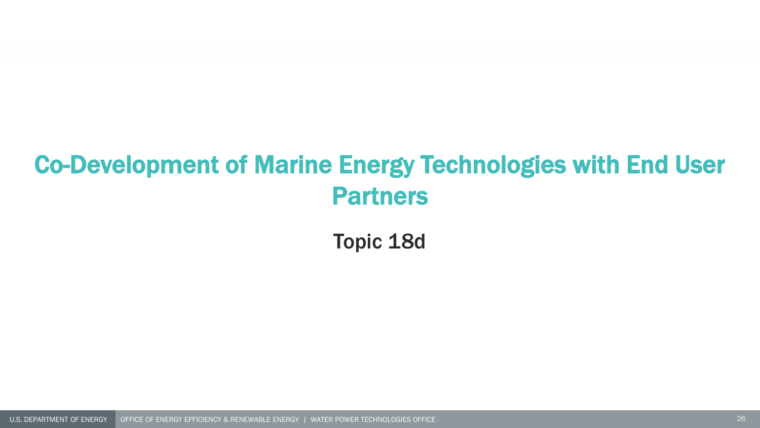## Co-Development of Marine Energy Technologies with End User Partners

Topic 18d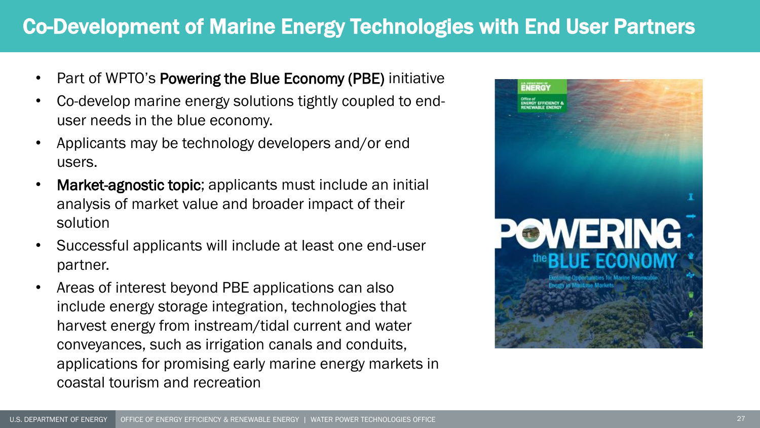## Co-Development of Marine Energy Technologies with End User Partners

- Part of WPTO's Powering the Blue Economy (PBE) initiative
- Co-develop marine energy solutions tightly coupled to enduser needs in the blue economy.
- Applicants may be technology developers and/or end users.
- Market-agnostic topic; applicants must include an initial analysis of market value and broader impact of their solution
- Successful applicants will include at least one end-user partner.
- Areas of interest beyond PBE applications can also include energy storage integration, technologies that harvest energy from instream/tidal current and water conveyances, such as irrigation canals and conduits, applications for promising early marine energy markets in coastal tourism and recreation

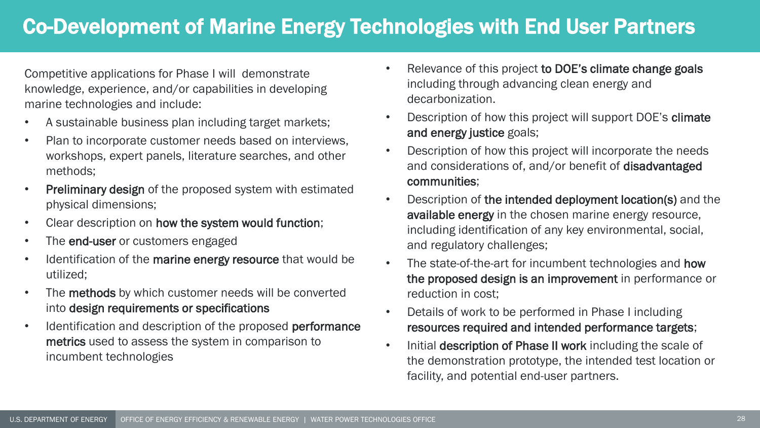## Co-Development of Marine Energy Technologies with End User Partners

Competitive applications for Phase I will demonstrate knowledge, experience, and/or capabilities in developing marine technologies and include:

- A sustainable business plan including target markets;
- Plan to incorporate customer needs based on interviews, workshops, expert panels, literature searches, and other methods;
- Preliminary design of the proposed system with estimated physical dimensions;
- Clear description on how the system would function;
- The **end-user** or customers engaged
- Identification of the marine energy resource that would be utilized;
- The methods by which customer needs will be converted into design requirements or specifications
- Identification and description of the proposed performance metrics used to assess the system in comparison to incumbent technologies
- Relevance of this project to DOE's climate change goals including through advancing clean energy and decarbonization.
- Description of how this project will support DOE's climate and energy justice goals;
- Description of how this project will incorporate the needs and considerations of, and/or benefit of disadvantaged communities;
- Description of the intended deployment location(s) and the available energy in the chosen marine energy resource, including identification of any key environmental, social, and regulatory challenges;
- The state-of-the-art for incumbent technologies and how the proposed design is an improvement in performance or reduction in cost;
- Details of work to be performed in Phase I including resources required and intended performance targets;
- Initial description of Phase II work including the scale of the demonstration prototype, the intended test location or facility, and potential end-user partners.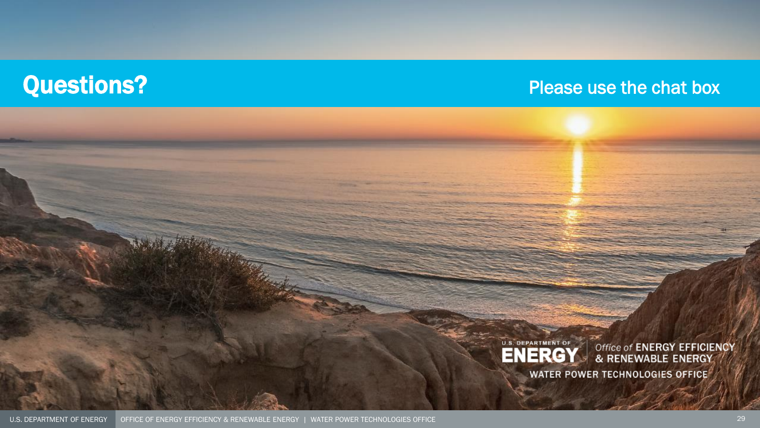## **Questions?** Please use the chat box



Office of ENERGY EFFICIENCY<br>& RENEWABLE ENERGY

WATER POWER TECHNOLOGIES OFFICE

. SI